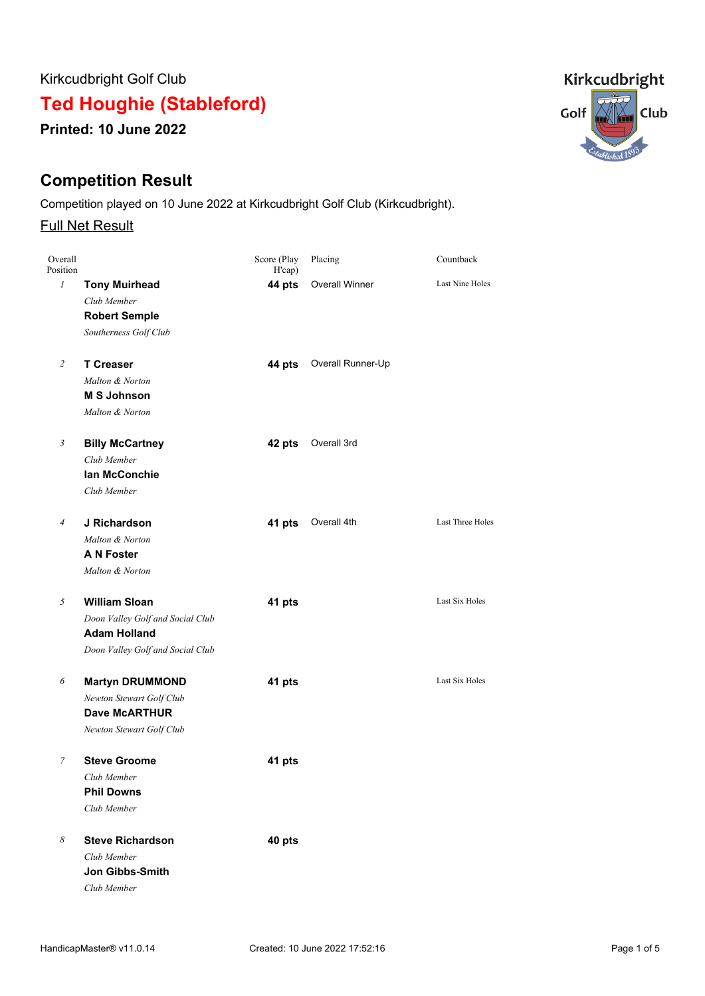Kirkcudbright Golf Club

**Ted Houghie (Stableford)**

**Printed: 10 June 2022**

# **Competition Result**

Competition played on 10 June 2022 at Kirkcudbright Golf Club (Kirkcudbright).

## Full Net Result

| Overall<br>Position |                                  | Score (Play<br>H'cap) | Placing           | Countback        |
|---------------------|----------------------------------|-----------------------|-------------------|------------------|
| $\mathcal{I}$       | <b>Tony Muirhead</b>             | 44 pts                | Overall Winner    | Last Nine Holes  |
|                     | Club Member                      |                       |                   |                  |
|                     | <b>Robert Semple</b>             |                       |                   |                  |
|                     | Southerness Golf Club            |                       |                   |                  |
| 2                   | <b>T Creaser</b>                 | 44 pts                | Overall Runner-Up |                  |
|                     | Malton & Norton                  |                       |                   |                  |
|                     | <b>M S Johnson</b>               |                       |                   |                  |
|                     | Malton & Norton                  |                       |                   |                  |
| 3                   | <b>Billy McCartney</b>           | 42 pts                | Overall 3rd       |                  |
|                     | Club Member                      |                       |                   |                  |
|                     | <b>lan McConchie</b>             |                       |                   |                  |
|                     | Club Member                      |                       |                   |                  |
| 4                   | J Richardson                     | 41 pts                | Overall 4th       | Last Three Holes |
|                     | Malton & Norton                  |                       |                   |                  |
|                     | A N Foster                       |                       |                   |                  |
|                     | Malton & Norton                  |                       |                   |                  |
| 5                   | <b>William Sloan</b>             | 41 pts                |                   | Last Six Holes   |
|                     | Doon Valley Golf and Social Club |                       |                   |                  |
|                     | <b>Adam Holland</b>              |                       |                   |                  |
|                     | Doon Valley Golf and Social Club |                       |                   |                  |
| 6                   | <b>Martyn DRUMMOND</b>           | 41 pts                |                   | Last Six Holes   |
|                     | Newton Stewart Golf Club         |                       |                   |                  |
|                     | <b>Dave McARTHUR</b>             |                       |                   |                  |
|                     | Newton Stewart Golf Club         |                       |                   |                  |
| 7                   | <b>Steve Groome</b>              | 41 pts                |                   |                  |
|                     | Club Member                      |                       |                   |                  |
|                     | <b>Phil Downs</b>                |                       |                   |                  |
|                     | Club Member                      |                       |                   |                  |
| 8                   | <b>Steve Richardson</b>          | 40 pts                |                   |                  |
|                     | Club Member                      |                       |                   |                  |
|                     | <b>Jon Gibbs-Smith</b>           |                       |                   |                  |
|                     | Club Member                      |                       |                   |                  |

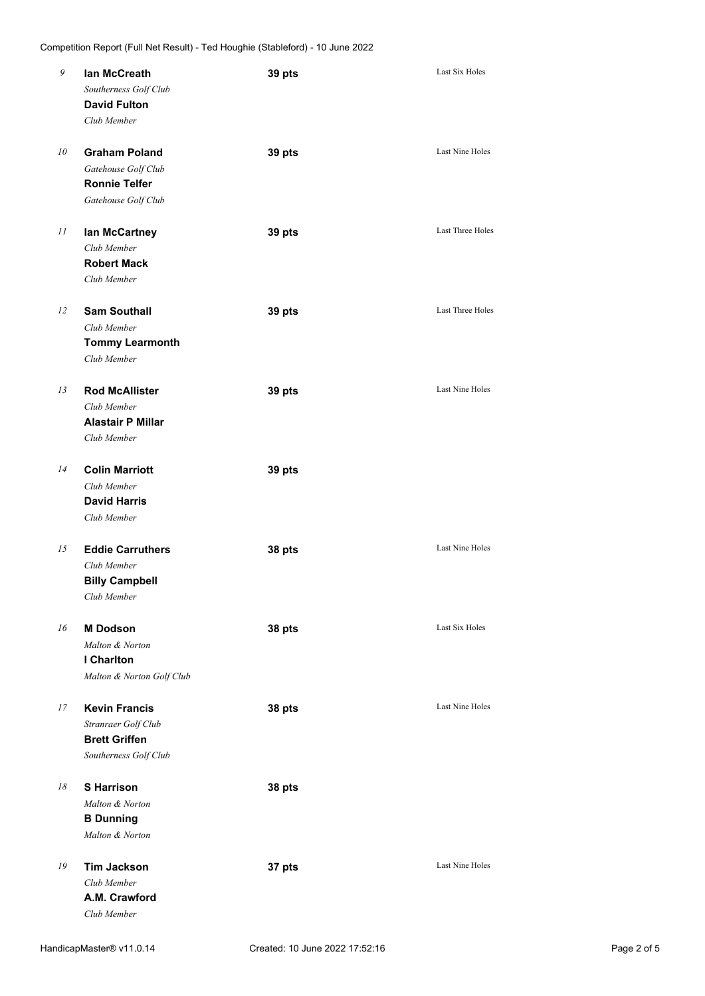| 9  | lan McCreath<br>Southerness Golf Club<br><b>David Fulton</b><br>Club Member                  | 39 pts | Last Six Holes          |
|----|----------------------------------------------------------------------------------------------|--------|-------------------------|
| 10 | <b>Graham Poland</b><br>Gatehouse Golf Club<br><b>Ronnie Telfer</b><br>Gatehouse Golf Club   | 39 pts | <b>Last Nine Holes</b>  |
| 11 | lan McCartney<br>Club Member<br><b>Robert Mack</b><br>Club Member                            | 39 pts | <b>Last Three Holes</b> |
| 12 | <b>Sam Southall</b><br>Club Member<br><b>Tommy Learmonth</b><br>Club Member                  | 39 pts | <b>Last Three Holes</b> |
| 13 | <b>Rod McAllister</b><br>Club Member<br><b>Alastair P Millar</b><br>Club Member              | 39 pts | Last Nine Holes         |
| 14 | <b>Colin Marriott</b><br>Club Member<br><b>David Harris</b><br>Club Member                   | 39 pts |                         |
| 15 | <b>Eddie Carruthers</b><br>Club Member<br><b>Billy Campbell</b><br>Club Member               | 38 pts | <b>Last Nine Holes</b>  |
| 16 | <b>M</b> Dodson<br>Malton & Norton<br>I Charlton<br>Malton & Norton Golf Club                | 38 pts | <b>Last Six Holes</b>   |
| 17 | <b>Kevin Francis</b><br>Stranraer Golf Club<br><b>Brett Griffen</b><br>Southerness Golf Club | 38 pts | Last Nine Holes         |
| 18 | <b>S</b> Harrison<br>Malton & Norton<br><b>B</b> Dunning<br>Malton & Norton                  | 38 pts |                         |
| 19 | <b>Tim Jackson</b><br>Club Member<br>A.M. Crawford<br>Club Member                            | 37 pts | Last Nine Holes         |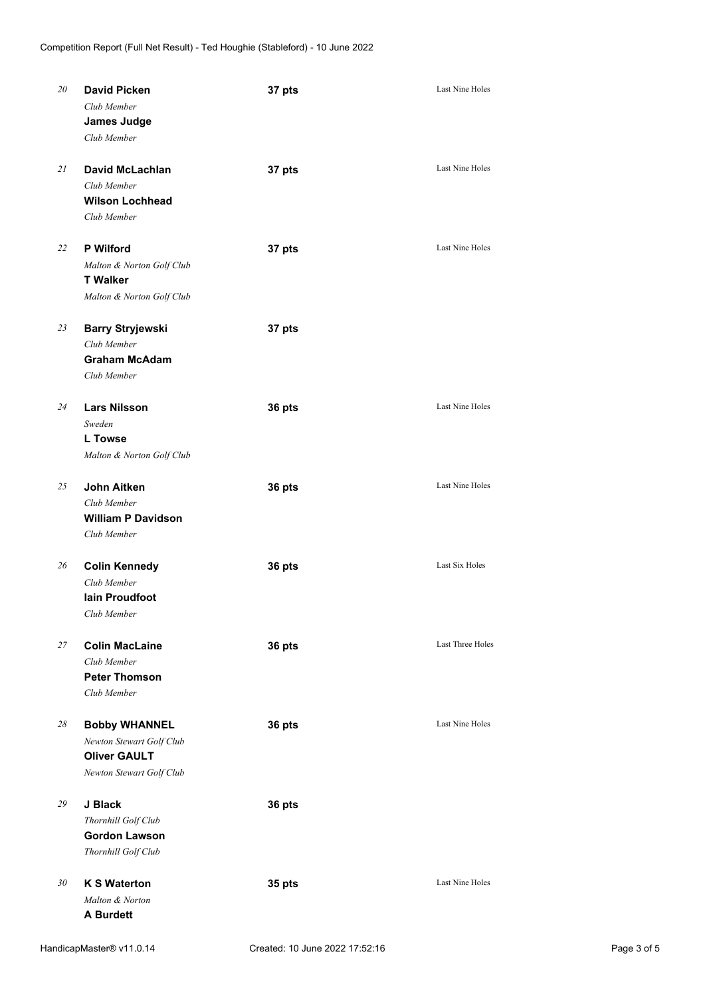| 20 | <b>David Picken</b><br>Club Member<br><b>James Judge</b><br>Club Member                             | 37 pts | Last Nine Holes         |
|----|-----------------------------------------------------------------------------------------------------|--------|-------------------------|
| 21 | <b>David McLachlan</b><br>Club Member<br><b>Wilson Lochhead</b><br>Club Member                      | 37 pts | Last Nine Holes         |
| 22 | <b>P</b> Wilford<br>Malton & Norton Golf Club<br><b>T</b> Walker<br>Malton & Norton Golf Club       | 37 pts | Last Nine Holes         |
| 23 | <b>Barry Stryjewski</b><br>Club Member<br><b>Graham McAdam</b><br>Club Member                       | 37 pts |                         |
| 24 | <b>Lars Nilsson</b><br>Sweden<br><b>L</b> Towse<br>Malton & Norton Golf Club                        | 36 pts | <b>Last Nine Holes</b>  |
| 25 | <b>John Aitken</b><br>Club Member<br><b>William P Davidson</b><br>Club Member                       | 36 pts | Last Nine Holes         |
| 26 | <b>Colin Kennedy</b><br>Club Member<br><b>lain Proudfoot</b><br>Club Member                         | 36 pts | Last Six Holes          |
| 27 | <b>Colin MacLaine</b><br>Club Member<br><b>Peter Thomson</b><br>Club Member                         | 36 pts | <b>Last Three Holes</b> |
| 28 | <b>Bobby WHANNEL</b><br>Newton Stewart Golf Club<br><b>Oliver GAULT</b><br>Newton Stewart Golf Club | 36 pts | Last Nine Holes         |
| 29 | J Black<br>Thornhill Golf Club<br><b>Gordon Lawson</b><br>Thornhill Golf Club                       | 36 pts |                         |
| 30 | <b>K S Waterton</b><br>Malton & Norton                                                              | 35 pts | Last Nine Holes         |

**A Burdett**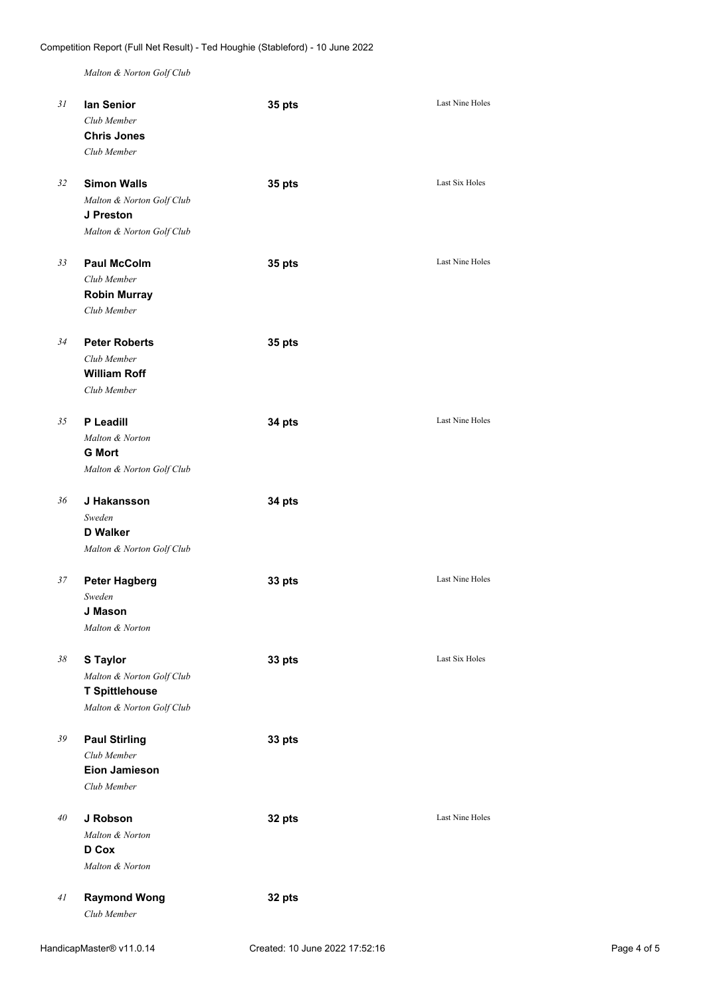*Malton & Norton Golf Club*

| 31 | lan Senior<br>Club Member<br><b>Chris Jones</b><br>Club Member                                     | 35 pts | <b>Last Nine Holes</b> |
|----|----------------------------------------------------------------------------------------------------|--------|------------------------|
| 32 | <b>Simon Walls</b><br>Malton & Norton Golf Club<br>J Preston<br>Malton & Norton Golf Club          | 35 pts | Last Six Holes         |
| 33 | <b>Paul McColm</b><br>Club Member<br><b>Robin Murray</b><br>Club Member                            | 35 pts | <b>Last Nine Holes</b> |
| 34 | <b>Peter Roberts</b><br>Club Member<br><b>William Roff</b><br>Club Member                          | 35 pts |                        |
| 35 | P Leadill<br>Malton & Norton<br><b>G</b> Mort<br>Malton & Norton Golf Club                         | 34 pts | <b>Last Nine Holes</b> |
| 36 | J Hakansson<br>Sweden<br><b>D</b> Walker<br>Malton & Norton Golf Club                              | 34 pts |                        |
| 37 | <b>Peter Hagberg</b><br>Sweden<br>J Mason<br>Malton & Norton                                       | 33 pts | <b>Last Nine Holes</b> |
| 38 | <b>S</b> Taylor<br>Malton & Norton Golf Club<br><b>T Spittlehouse</b><br>Malton & Norton Golf Club | 33 pts | Last Six Holes         |
| 39 | <b>Paul Stirling</b><br>Club Member<br><b>Eion Jamieson</b><br>Club Member                         | 33 pts |                        |
| 40 | J Robson<br>Malton & Norton<br>D Cox<br>Malton & Norton                                            | 32 pts | Last Nine Holes        |
| 41 | <b>Raymond Wong</b><br>Club Member                                                                 | 32 pts |                        |